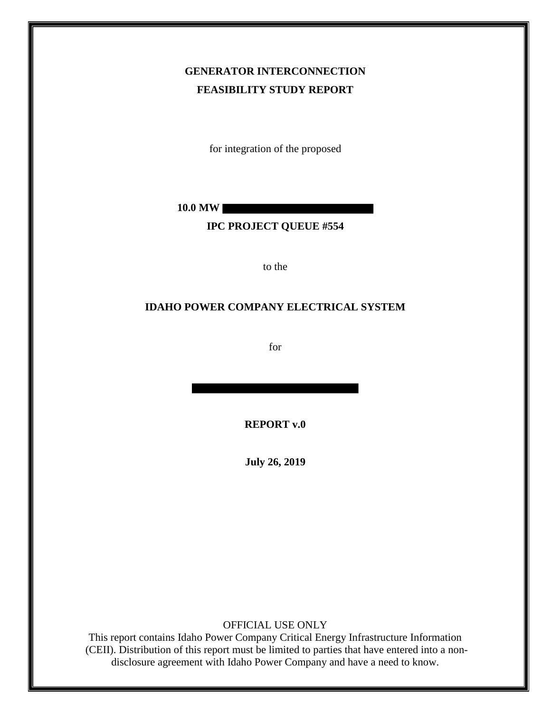# **GENERATOR INTERCONNECTION FEASIBILITY STUDY REPORT**

for integration of the proposed

**10.0 MW**

### **IPC PROJECT QUEUE #554**

to the

## **IDAHO POWER COMPANY ELECTRICAL SYSTEM**

for

**REPORT v.0**

**July 26, 2019**

OFFICIAL USE ONLY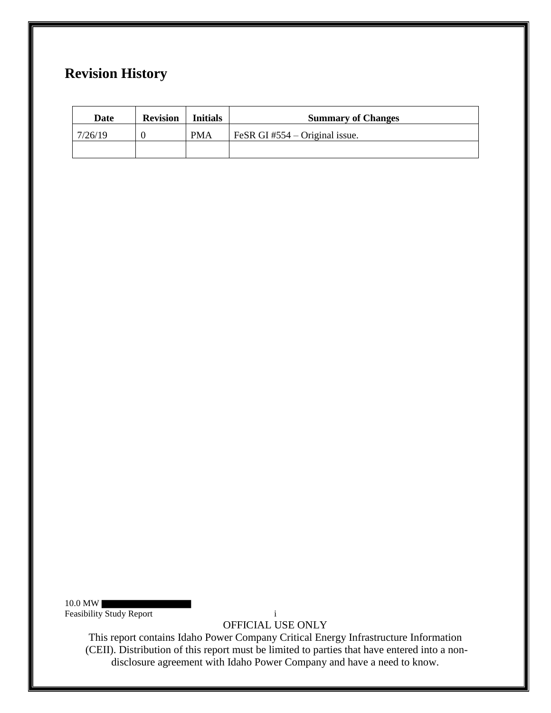# **Revision History**

| Date    | <b>Revision</b> | <b>Initials</b> | <b>Summary of Changes</b>        |
|---------|-----------------|-----------------|----------------------------------|
| 7/26/19 |                 | <b>PMA</b>      | FeSR GI #554 $-$ Original issue. |
|         |                 |                 |                                  |

10.0 MW Feasibility Study Report in the study of the study Report in the study Report in the study Report in the study Report in the study Report in the study Report in the study Report in the study Report in the study Report in t

OFFICIAL USE ONLY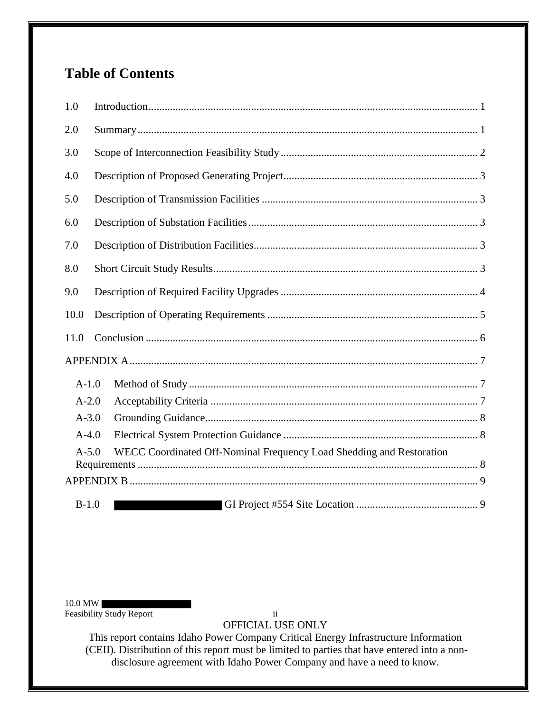# **Table of Contents**

| 1.0                                                                               |  |  |  |  |
|-----------------------------------------------------------------------------------|--|--|--|--|
| 2.0                                                                               |  |  |  |  |
| 3.0                                                                               |  |  |  |  |
| 4.0                                                                               |  |  |  |  |
| 5.0                                                                               |  |  |  |  |
| 6.0                                                                               |  |  |  |  |
| 7.0                                                                               |  |  |  |  |
| 8.0                                                                               |  |  |  |  |
| 9.0                                                                               |  |  |  |  |
| 10.0                                                                              |  |  |  |  |
| 11.0                                                                              |  |  |  |  |
|                                                                                   |  |  |  |  |
| $A-1.0$                                                                           |  |  |  |  |
| $A-2.0$                                                                           |  |  |  |  |
| $A - 3.0$                                                                         |  |  |  |  |
| $A-4.0$                                                                           |  |  |  |  |
| WECC Coordinated Off-Nominal Frequency Load Shedding and Restoration<br>$A - 5.0$ |  |  |  |  |
|                                                                                   |  |  |  |  |
| $B-1.0$                                                                           |  |  |  |  |

10.0 MW Feasibility Study Report ii

OFFICIAL USE ONLY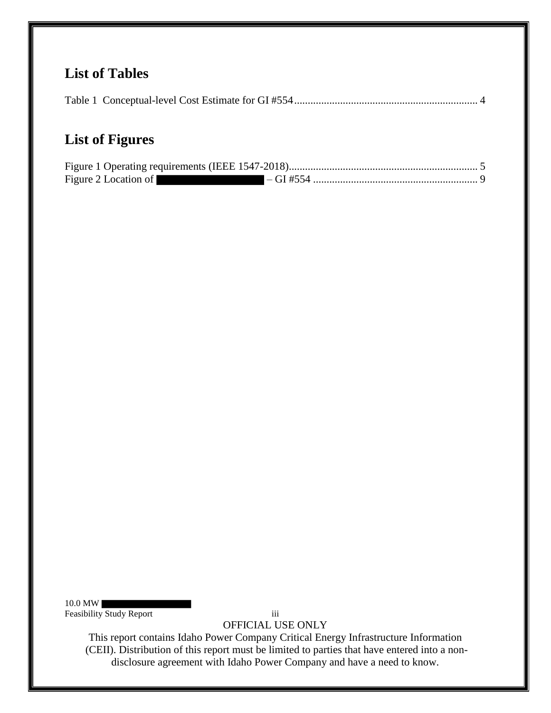# **List of Tables**

|--|--|

# **List of Figures**

| Figure 2 Location of |  |
|----------------------|--|

10.0 MW Feasibility Study Report iii

OFFICIAL USE ONLY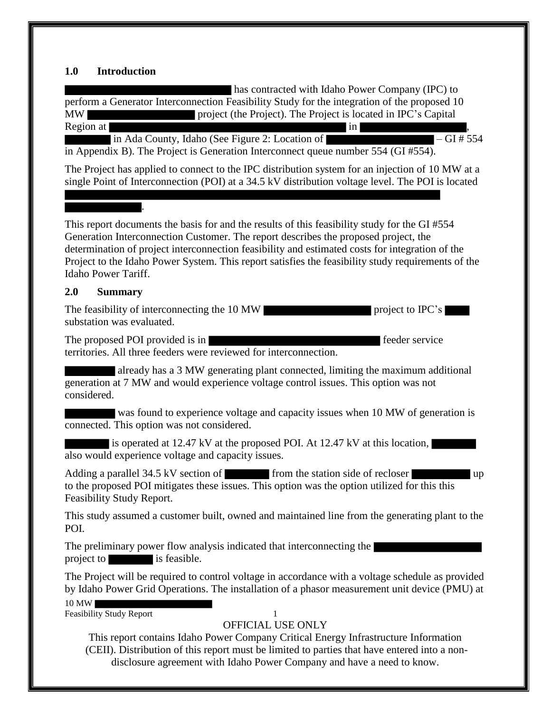## **1.0 Introduction**

10 MW Feasibility Study Report 1 OFFICIAL USE ONLY This report contains Idaho Power Company Critical Energy Infrastructure Information (CEII). Distribution of this report must be limited to parties that have entered into a nondisclosure agreement with Idaho Power Company and have a need to know. has contracted with Idaho Power Company (IPC) to perform a Generator Interconnection Feasibility Study for the integration of the proposed 10 MW project (the Project). The Project is located in IPC's Capital Region at  $\qquad \qquad$ , in Ada County, Idaho (See Figure 2: Location of – GI # 554 in Appendix B). The Project is Generation Interconnect queue number 554 (GI #554). The Project has applied to connect to the IPC distribution system for an injection of 10 MW at a single Point of Interconnection (POI) at a 34.5 kV distribution voltage level. The POI is located . This report documents the basis for and the results of this feasibility study for the GI #554 Generation Interconnection Customer. The report describes the proposed project, the determination of project interconnection feasibility and estimated costs for integration of the Project to the Idaho Power System. This report satisfies the feasibility study requirements of the Idaho Power Tariff. **2.0 Summary** The feasibility of interconnecting the 10 MW project to IPC's substation was evaluated. The proposed POI provided is in feeder service territories. All three feeders were reviewed for interconnection. already has a 3 MW generating plant connected, limiting the maximum additional generation at 7 MW and would experience voltage control issues. This option was not considered. was found to experience voltage and capacity issues when 10 MW of generation is connected. This option was not considered. is operated at 12.47 kV at the proposed POI. At 12.47 kV at this location, also would experience voltage and capacity issues. Adding a parallel 34.5 kV section of from the station side of recloser to the proposed POI mitigates these issues. This option was the option utilized for this this Feasibility Study Report. This study assumed a customer built, owned and maintained line from the generating plant to the POI. The preliminary power flow analysis indicated that interconnecting the project to is feasible. The Project will be required to control voltage in accordance with a voltage schedule as provided by Idaho Power Grid Operations. The installation of a phasor measurement unit device (PMU) at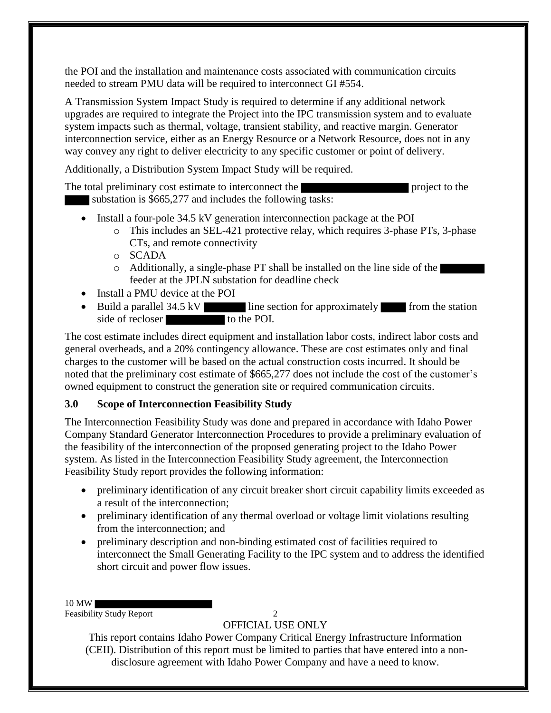the POI and the installation and maintenance costs associated with communication circuits needed to stream PMU data will be required to interconnect GI #554.

A Transmission System Impact Study is required to determine if any additional network upgrades are required to integrate the Project into the IPC transmission system and to evaluate system impacts such as thermal, voltage, transient stability, and reactive margin. Generator interconnection service, either as an Energy Resource or a Network Resource, does not in any way convey any right to deliver electricity to any specific customer or point of delivery.

Additionally, a Distribution System Impact Study will be required.

The total preliminary cost estimate to interconnect the project to the project to the substation is \$665,277 and includes the following tasks:

- Install a four-pole 34.5 kV generation interconnection package at the POI
	- o This includes an SEL-421 protective relay, which requires 3-phase PTs, 3-phase CTs, and remote connectivity
	- o SCADA
	- o Additionally, a single-phase PT shall be installed on the line side of the feeder at the JPLN substation for deadline check
- Install a PMU device at the POI
- Build a parallel 34.5 kV line section for approximately from the station side of recloser to the POI.

The cost estimate includes direct equipment and installation labor costs, indirect labor costs and general overheads, and a 20% contingency allowance. These are cost estimates only and final charges to the customer will be based on the actual construction costs incurred. It should be noted that the preliminary cost estimate of \$665,277 does not include the cost of the customer's owned equipment to construct the generation site or required communication circuits.

# **3.0 Scope of Interconnection Feasibility Study**

The Interconnection Feasibility Study was done and prepared in accordance with Idaho Power Company Standard Generator Interconnection Procedures to provide a preliminary evaluation of the feasibility of the interconnection of the proposed generating project to the Idaho Power system. As listed in the Interconnection Feasibility Study agreement, the Interconnection Feasibility Study report provides the following information:

- preliminary identification of any circuit breaker short circuit capability limits exceeded as a result of the interconnection;
- preliminary identification of any thermal overload or voltage limit violations resulting from the interconnection; and
- preliminary description and non-binding estimated cost of facilities required to interconnect the Small Generating Facility to the IPC system and to address the identified short circuit and power flow issues.
- 10 MW

Feasibility Study Report 2

OFFICIAL USE ONLY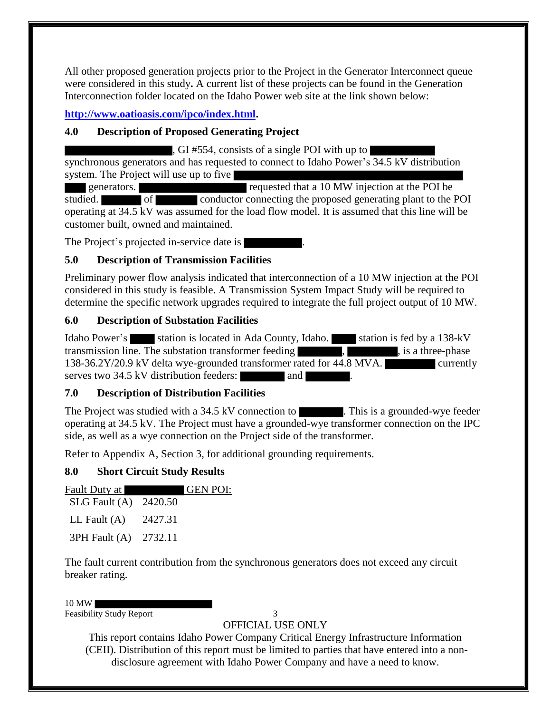All other proposed generation projects prior to the Project in the Generator Interconnect queue were considered in this study**.** A current list of these projects can be found in the Generation Interconnection folder located on the Idaho Power web site at the link shown below:

**http://www.oatioasis.com/ipco/index.html.**

# **4.0 Description of Proposed Generating Project**

, GI #554, consists of a single POI with up to synchronous generators and has requested to connect to Idaho Power's 34.5 kV distribution system. The Project will use up to five

generators. The requested that a 10 MW injection at the POI be studied. operating at 34.5 kV was assumed for the load flow model. It is assumed that this line will be customer built, owned and maintained.

The Project's projected in-service date is

# **5.0 Description of Transmission Facilities**

Preliminary power flow analysis indicated that interconnection of a 10 MW injection at the POI considered in this study is feasible. A Transmission System Impact Study will be required to determine the specific network upgrades required to integrate the full project output of 10 MW.

# **6.0 Description of Substation Facilities**

Idaho Power's station is located in Ada County, Idaho. station is fed by a 138-kV transmission line. The substation transformer feeding , , is a three-phase 138-36.2Y/20.9 kV delta wye-grounded transformer rated for 44.8 MVA. currently serves two 34.5 kV distribution feeders: and ...

# **7.0 Description of Distribution Facilities**

The Project was studied with a  $34.5 \text{ kV}$  connection to . This is a grounded-wye feeder operating at 34.5 kV. The Project must have a grounded-wye transformer connection on the IPC side, as well as a wye connection on the Project side of the transformer.

Refer to Appendix A, Section 3, for additional grounding requirements.

# **8.0 Short Circuit Study Results**

|                       | <b>GEN POI:</b> |
|-----------------------|-----------------|
| SLG Fault (A) 2420.50 |                 |
| 2427.31               |                 |
| 3PH Fault (A) 2732.11 |                 |
|                       |                 |

The fault current contribution from the synchronous generators does not exceed any circuit breaker rating.

#### 10 MW

Feasibility Study Report 3

OFFICIAL USE ONLY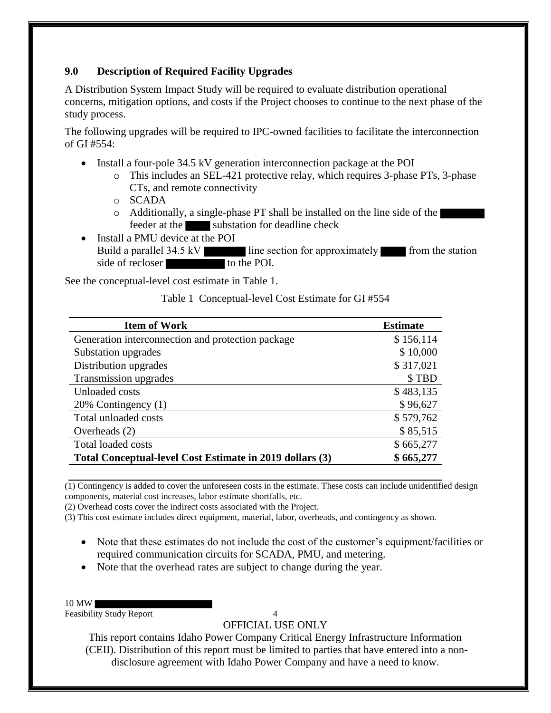# **9.0 Description of Required Facility Upgrades**

A Distribution System Impact Study will be required to evaluate distribution operational concerns, mitigation options, and costs if the Project chooses to continue to the next phase of the study process.

The following upgrades will be required to IPC-owned facilities to facilitate the interconnection of GI #554:

- Install a four-pole 34.5 kV generation interconnection package at the POI
	- o This includes an SEL-421 protective relay, which requires 3-phase PTs, 3-phase CTs, and remote connectivity
	- o SCADA
	- o Additionally, a single-phase PT shall be installed on the line side of the feeder at the substation for deadline check
- Install a PMU device at the POI Build a parallel 34.5 kV line section for approximately from the station side of recloser to the POI.

See the conceptual-level cost estimate in Table 1.

Table 1 Conceptual-level Cost Estimate for GI #554

| <b>Item of Work</b>                                      | <b>Estimate</b> |
|----------------------------------------------------------|-----------------|
| Generation interconnection and protection package        | \$156,114       |
| Substation upgrades                                      | \$10,000        |
| Distribution upgrades                                    | \$317,021       |
| Transmission upgrades                                    | \$TBD           |
| Unloaded costs                                           | \$483,135       |
| 20% Contingency (1)                                      | \$96,627        |
| Total unloaded costs                                     | \$579,762       |
| Overheads $(2)$                                          | \$85,515        |
| <b>Total loaded costs</b>                                | \$665,277       |
| Total Conceptual-level Cost Estimate in 2019 dollars (3) | \$665,277       |

 $\overline{(1)}$  Contingency is added to cover the unforeseen costs in the estimate. These costs can include unidentified design components, material cost increases, labor estimate shortfalls, etc.

(2) Overhead costs cover the indirect costs associated with the Project.

(3) This cost estimate includes direct equipment, material, labor, overheads, and contingency as shown.

- Note that these estimates do not include the cost of the customer's equipment/facilities or required communication circuits for SCADA, PMU, and metering.
- Note that the overhead rates are subject to change during the year.
- 10 MW

Feasibility Study Report 4

OFFICIAL USE ONLY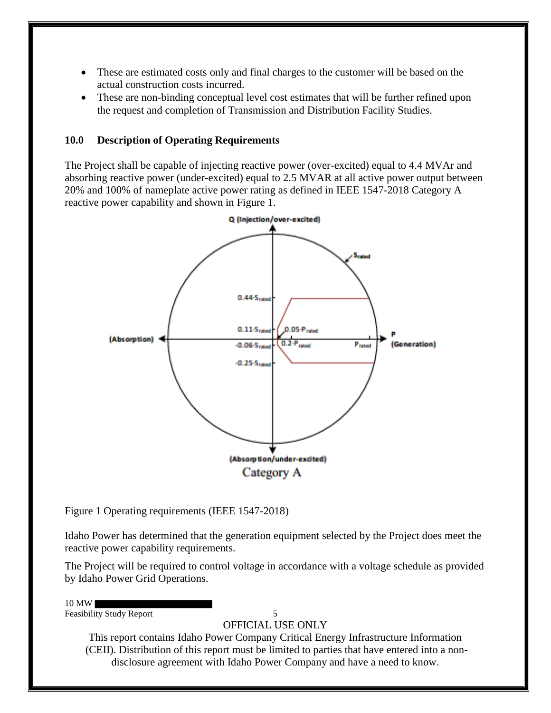- These are estimated costs only and final charges to the customer will be based on the actual construction costs incurred.
- These are non-binding conceptual level cost estimates that will be further refined upon the request and completion of Transmission and Distribution Facility Studies.

### **10.0 Description of Operating Requirements**

The Project shall be capable of injecting reactive power (over-excited) equal to 4.4 MVAr and absorbing reactive power (under-excited) equal to 2.5 MVAR at all active power output between 20% and 100% of nameplate active power rating as defined in IEEE 1547-2018 Category A reactive power capability and shown in Figure 1.



Figure 1 Operating requirements (IEEE 1547-2018)

Idaho Power has determined that the generation equipment selected by the Project does meet the reactive power capability requirements.

The Project will be required to control voltage in accordance with a voltage schedule as provided by Idaho Power Grid Operations.

10 MW

Feasibility Study Report 5

OFFICIAL USE ONLY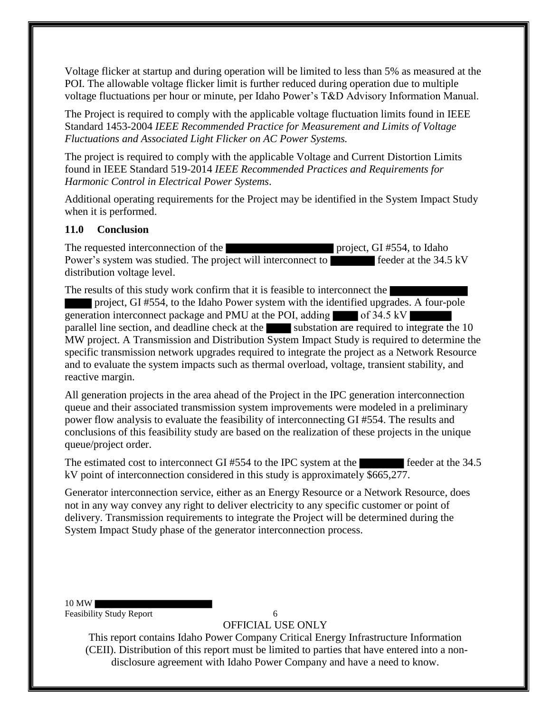Voltage flicker at startup and during operation will be limited to less than 5% as measured at the POI. The allowable voltage flicker limit is further reduced during operation due to multiple voltage fluctuations per hour or minute, per Idaho Power's T&D Advisory Information Manual.

The Project is required to comply with the applicable voltage fluctuation limits found in IEEE Standard 1453-2004 *IEEE Recommended Practice for Measurement and Limits of Voltage Fluctuations and Associated Light Flicker on AC Power Systems.* 

The project is required to comply with the applicable Voltage and Current Distortion Limits found in IEEE Standard 519-2014 *IEEE Recommended Practices and Requirements for Harmonic Control in Electrical Power Systems*.

Additional operating requirements for the Project may be identified in the System Impact Study when it is performed.

## **11.0 Conclusion**

The requested interconnection of the project, GI #554, to Idaho Power's system was studied. The project will interconnect to feeder at the 34.5 kV distribution voltage level.

The results of this study work confirm that it is feasible to interconnect the

project, GI #554, to the Idaho Power system with the identified upgrades. A four-pole generation interconnect package and PMU at the POI, adding  $\blacksquare$  of 34.5 kV parallel line section, and deadline check at the substation are required to integrate the  $10$ MW project. A Transmission and Distribution System Impact Study is required to determine the specific transmission network upgrades required to integrate the project as a Network Resource and to evaluate the system impacts such as thermal overload, voltage, transient stability, and reactive margin.

All generation projects in the area ahead of the Project in the IPC generation interconnection queue and their associated transmission system improvements were modeled in a preliminary power flow analysis to evaluate the feasibility of interconnecting GI #554. The results and conclusions of this feasibility study are based on the realization of these projects in the unique queue/project order.

The estimated cost to interconnect GI  $#554$  to the IPC system at the feeder at the 34.5 kV point of interconnection considered in this study is approximately \$665,277.

Generator interconnection service, either as an Energy Resource or a Network Resource, does not in any way convey any right to deliver electricity to any specific customer or point of delivery. Transmission requirements to integrate the Project will be determined during the System Impact Study phase of the generator interconnection process.

### 10 MW

Feasibility Study Report 6

OFFICIAL USE ONLY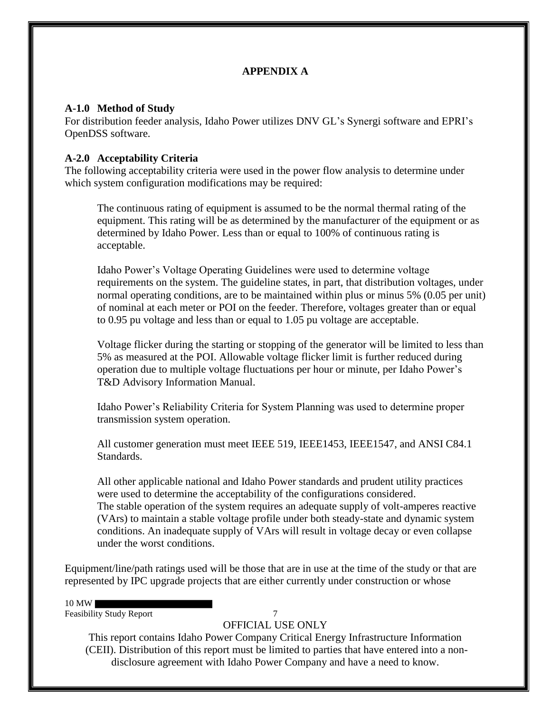# **APPENDIX A**

### **A-1.0 Method of Study**

For distribution feeder analysis, Idaho Power utilizes DNV GL's Synergi software and EPRI's OpenDSS software.

## **A-2.0 Acceptability Criteria**

The following acceptability criteria were used in the power flow analysis to determine under which system configuration modifications may be required:

The continuous rating of equipment is assumed to be the normal thermal rating of the equipment. This rating will be as determined by the manufacturer of the equipment or as determined by Idaho Power. Less than or equal to 100% of continuous rating is acceptable.

Idaho Power's Voltage Operating Guidelines were used to determine voltage requirements on the system. The guideline states, in part, that distribution voltages, under normal operating conditions, are to be maintained within plus or minus 5% (0.05 per unit) of nominal at each meter or POI on the feeder. Therefore, voltages greater than or equal to 0.95 pu voltage and less than or equal to 1.05 pu voltage are acceptable.

Voltage flicker during the starting or stopping of the generator will be limited to less than 5% as measured at the POI. Allowable voltage flicker limit is further reduced during operation due to multiple voltage fluctuations per hour or minute, per Idaho Power's T&D Advisory Information Manual.

Idaho Power's Reliability Criteria for System Planning was used to determine proper transmission system operation.

All customer generation must meet IEEE 519, IEEE1453, IEEE1547, and ANSI C84.1 Standards.

All other applicable national and Idaho Power standards and prudent utility practices were used to determine the acceptability of the configurations considered. The stable operation of the system requires an adequate supply of volt-amperes reactive (VArs) to maintain a stable voltage profile under both steady-state and dynamic system conditions. An inadequate supply of VArs will result in voltage decay or even collapse under the worst conditions.

Equipment/line/path ratings used will be those that are in use at the time of the study or that are represented by IPC upgrade projects that are either currently under construction or whose

#### 10 MW

Feasibility Study Report 7

OFFICIAL USE ONLY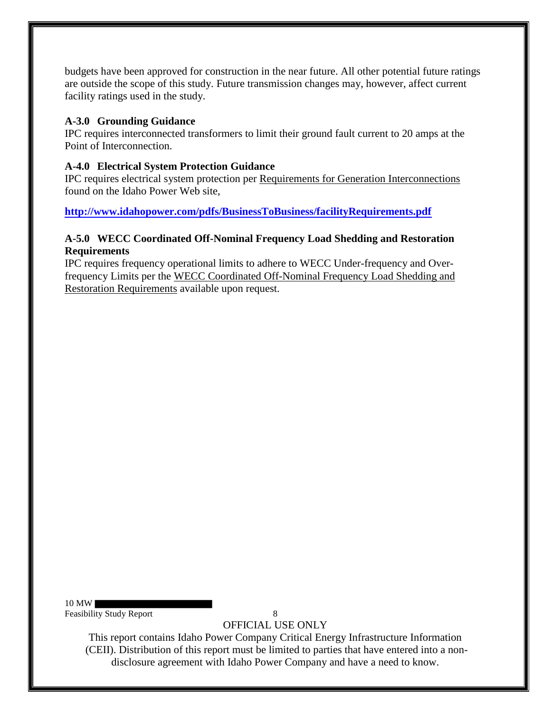budgets have been approved for construction in the near future. All other potential future ratings are outside the scope of this study. Future transmission changes may, however, affect current facility ratings used in the study.

# **A-3.0 Grounding Guidance**

IPC requires interconnected transformers to limit their ground fault current to 20 amps at the Point of Interconnection.

# **A-4.0 Electrical System Protection Guidance**

IPC requires electrical system protection per Requirements for Generation Interconnections found on the Idaho Power Web site,

**http://www.idahopower.com/pdfs/BusinessToBusiness/facilityRequirements.pdf**

# **A-5.0 WECC Coordinated Off-Nominal Frequency Load Shedding and Restoration Requirements**

IPC requires frequency operational limits to adhere to WECC Under-frequency and Overfrequency Limits per the WECC Coordinated Off-Nominal Frequency Load Shedding and Restoration Requirements available upon request.

10 MW Feasibility Study Report 8

OFFICIAL USE ONLY